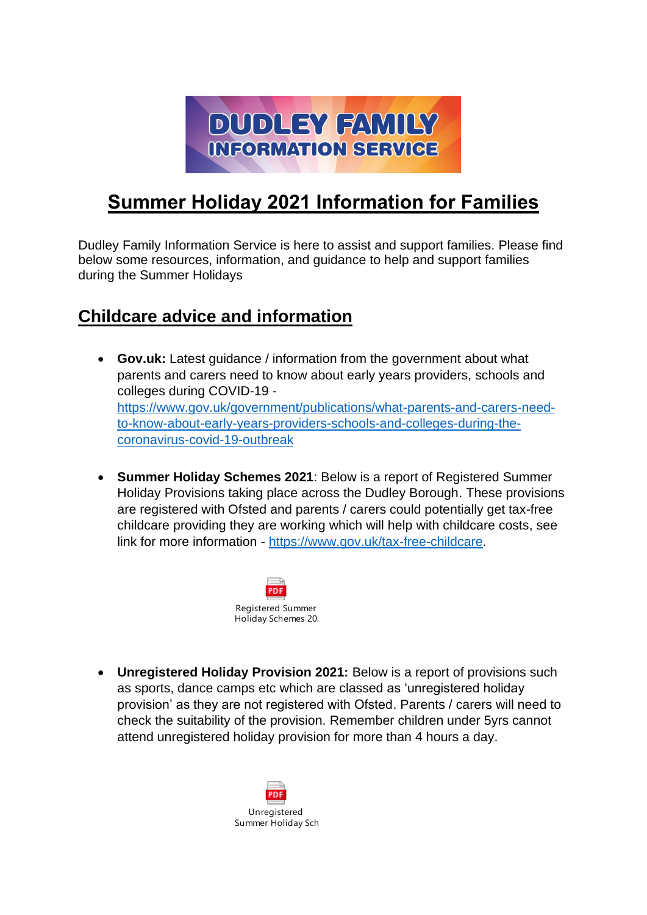

## **Summer Holiday 2021 Information for Families**

Dudley Family Information Service is here to assist and support families. Please find below some resources, information, and guidance to help and support families during the Summer Holidays

## **Childcare advice and information**

- **Gov.uk:** Latest guidance / information from the government about what parents and carers need to know about early years providers, schools and colleges during COVID-19 [https://www.gov.uk/government/publications/what-parents-and-carers-need](https://www.gov.uk/government/publications/what-parents-and-carers-need-to-know-about-early-years-providers-schools-and-colleges-during-the-coronavirus-covid-19-outbreak)[to-know-about-early-years-providers-schools-and-colleges-during-the](https://www.gov.uk/government/publications/what-parents-and-carers-need-to-know-about-early-years-providers-schools-and-colleges-during-the-coronavirus-covid-19-outbreak)[coronavirus-covid-19-outbreak](https://www.gov.uk/government/publications/what-parents-and-carers-need-to-know-about-early-years-providers-schools-and-colleges-during-the-coronavirus-covid-19-outbreak)
- **Summer Holiday Schemes 2021**: Below is a report of Registered Summer Holiday Provisions taking place across the Dudley Borough. These provisions are registered with Ofsted and parents / carers could potentially get tax-free childcare providing they are working which will help with childcare costs, see link for more information - [https://www.gov.uk/tax-free-childcare.](https://www.gov.uk/tax-free-childcare)



• **Unregistered Holiday Provision 2021:** Below is a report of provisions such as sports, dance camps etc which are classed as 'unregistered holiday provision' as they are not registered with Ofsted. Parents / carers will need to check the suitability of the provision. Remember children under 5yrs cannot attend unregistered holiday provision for more than 4 hours a day.

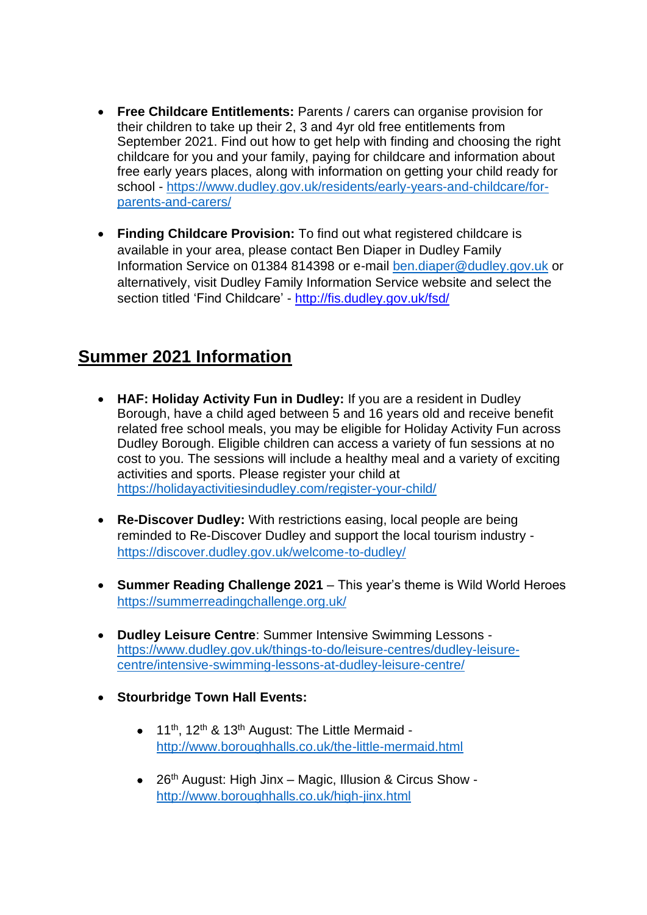- **Free Childcare Entitlements:** Parents / carers can organise provision for their children to take up their 2, 3 and 4yr old free entitlements from September 2021. Find out how to get help with finding and choosing the right childcare for you and your family, paying for childcare and information about free early years places, along with information on getting your child ready for school - [https://www.dudley.gov.uk/residents/early-years-and-childcare/for](https://www.dudley.gov.uk/residents/early-years-and-childcare/for-parents-and-carers/)[parents-and-carers/](https://www.dudley.gov.uk/residents/early-years-and-childcare/for-parents-and-carers/)
- **Finding Childcare Provision:** To find out what registered childcare is available in your area, please contact Ben Diaper in Dudley Family Information Service on 01384 814398 or e-mail [ben.diaper@dudley.gov.uk](mailto:ben.diaper@dudley.gov.uk) or alternatively, visit Dudley Family Information Service website and select the section titled 'Find Childcare' - <http://fis.dudley.gov.uk/fsd/>

## **Summer 2021 Information**

- **HAF: Holiday Activity Fun in Dudley:** If you are a resident in Dudley Borough, have a child aged between 5 and 16 years old and receive benefit related free school meals, you may be eligible for Holiday Activity Fun across Dudley Borough. Eligible children can access a variety of fun sessions at no cost to you. The sessions will include a healthy meal and a variety of exciting activities and sports. Please register your child at <https://holidayactivitiesindudley.com/register-your-child/>
- **Re-Discover Dudley:** With restrictions easing, local people are being reminded to Re-Discover Dudley and support the local tourism industry <https://discover.dudley.gov.uk/welcome-to-dudley/>
- **Summer Reading Challenge 2021** This year's theme is Wild World Heroes <https://summerreadingchallenge.org.uk/>
- **Dudley Leisure Centre**: Summer Intensive Swimming Lessons [https://www.dudley.gov.uk/things-to-do/leisure-centres/dudley-leisure](https://www.dudley.gov.uk/things-to-do/leisure-centres/dudley-leisure-centre/intensive-swimming-lessons-at-dudley-leisure-centre/)[centre/intensive-swimming-lessons-at-dudley-leisure-centre/](https://www.dudley.gov.uk/things-to-do/leisure-centres/dudley-leisure-centre/intensive-swimming-lessons-at-dudley-leisure-centre/)
- **Stourbridge Town Hall Events:**
	- $\bullet$  11<sup>th</sup>, 12<sup>th</sup> & 13<sup>th</sup> August: The Little Mermaid <http://www.boroughhalls.co.uk/the-little-mermaid.html>
	- 26<sup>th</sup> August: High Jinx Magic, Illusion & Circus Show <http://www.boroughhalls.co.uk/high-jinx.html>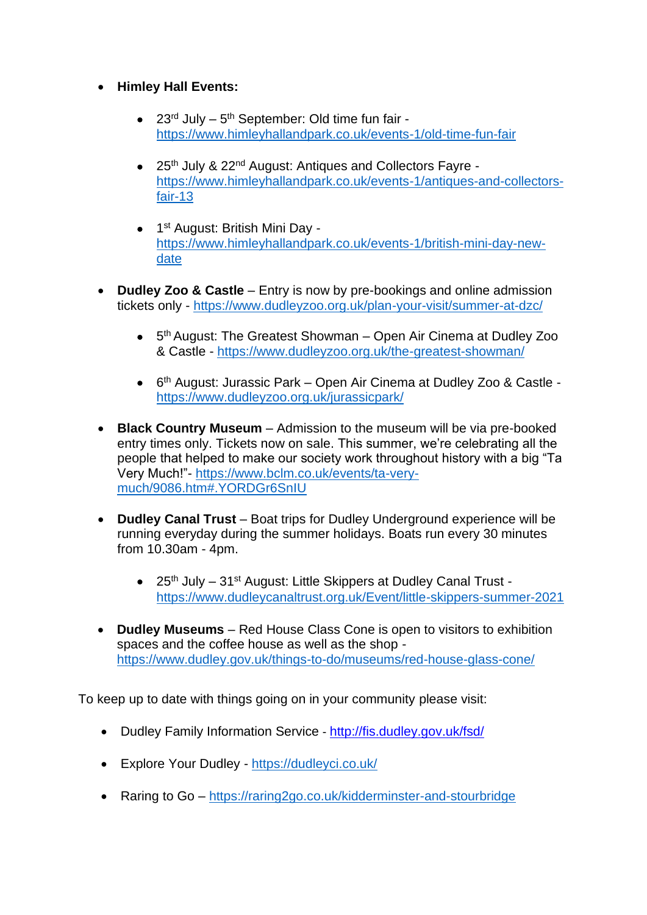- **Himley Hall Events:**
	- $\bullet$  23<sup>rd</sup> July 5<sup>th</sup> September: Old time fun fair <https://www.himleyhallandpark.co.uk/events-1/old-time-fun-fair>
	- 25<sup>th</sup> July & 22<sup>nd</sup> August: Antiques and Collectors Fayre [https://www.himleyhallandpark.co.uk/events-1/antiques-and-collectors](https://www.himleyhallandpark.co.uk/events-1/antiques-and-collectors-fair-13)[fair-13](https://www.himleyhallandpark.co.uk/events-1/antiques-and-collectors-fair-13)
	- 1<sup>st</sup> August: British Mini Day [https://www.himleyhallandpark.co.uk/events-1/british-mini-day-new](https://www.himleyhallandpark.co.uk/events-1/british-mini-day-new-date)[date](https://www.himleyhallandpark.co.uk/events-1/british-mini-day-new-date)
- **Dudley Zoo & Castle** Entry is now by pre-bookings and online admission tickets only - <https://www.dudleyzoo.org.uk/plan-your-visit/summer-at-dzc/>
	- 5<sup>th</sup> August: The Greatest Showman Open Air Cinema at Dudley Zoo & Castle - <https://www.dudleyzoo.org.uk/the-greatest-showman/>
	- 6<sup>th</sup> August: Jurassic Park Open Air Cinema at Dudley Zoo & Castle <https://www.dudleyzoo.org.uk/jurassicpark/>
- **Black Country Museum** Admission to the museum will be via pre-booked entry times only. Tickets now on sale. This summer, we're celebrating all the people that helped to make our society work throughout history with a big "Ta Very Much!"- [https://www.bclm.co.uk/events/ta-very](https://www.bclm.co.uk/events/ta-very-much/9086.htm#.YORDGr6SnIU)[much/9086.htm#.YORDGr6SnIU](https://www.bclm.co.uk/events/ta-very-much/9086.htm#.YORDGr6SnIU)
- **Dudley Canal Trust** Boat trips for Dudley Underground experience will be running everyday during the summer holidays. Boats run every 30 minutes from 10.30am - 4pm.
	- 25<sup>th</sup> July 31<sup>st</sup> August: Little Skippers at Dudley Canal Trust <https://www.dudleycanaltrust.org.uk/Event/little-skippers-summer-2021>
- **Dudley Museums** Red House Class Cone is open to visitors to exhibition spaces and the coffee house as well as the shop <https://www.dudley.gov.uk/things-to-do/museums/red-house-glass-cone/>

To keep up to date with things going on in your community please visit:

- Dudley Family Information Service <http://fis.dudley.gov.uk/fsd/>
- Explore Your Dudley <https://dudleyci.co.uk/>
- Raring to Go <https://raring2go.co.uk/kidderminster-and-stourbridge>